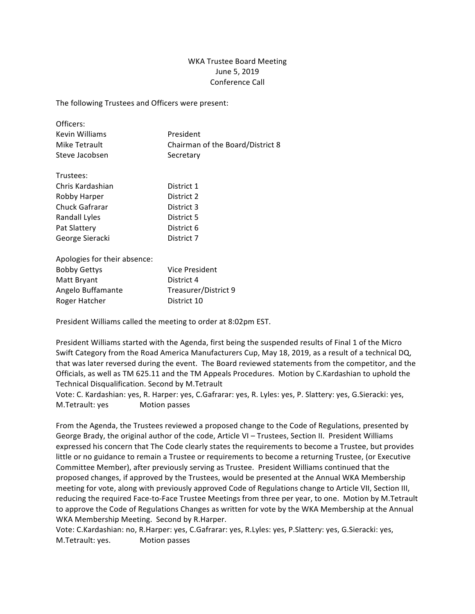## WKA Trustee Board Meeting June 5, 2019 Conference Call

The following Trustees and Officers were present:

| Officers:        |                                  |
|------------------|----------------------------------|
| Kevin Williams   | President                        |
| Mike Tetrault    | Chairman of the Board/District 8 |
| Steve Jacobsen   | Secretary                        |
|                  |                                  |
| Trustees:        |                                  |
| Chris Kardashian | District 1                       |
| Robby Harper     | District 2                       |
| Chuck Gafrarar   | District 3                       |
| Randall Lyles    | District 5                       |
| Pat Slattery     | District 6                       |
| George Sieracki  | District 7                       |

| Apologies for their absence: |                      |
|------------------------------|----------------------|
| <b>Bobby Gettys</b>          | Vice President       |
| Matt Bryant                  | District 4           |
| Angelo Buffamante            | Treasurer/District 9 |
| Roger Hatcher                | District 10          |

President Williams called the meeting to order at 8:02pm EST.

President Williams started with the Agenda, first being the suspended results of Final 1 of the Micro Swift Category from the Road America Manufacturers Cup, May 18, 2019, as a result of a technical DQ, that was later reversed during the event. The Board reviewed statements from the competitor, and the Officials, as well as TM 625.11 and the TM Appeals Procedures. Motion by C.Kardashian to uphold the Technical Disqualification. Second by M.Tetrault

Vote: C. Kardashian: yes, R. Harper: yes, C.Gafrarar: yes, R. Lyles: yes, P. Slattery: yes, G.Sieracki: yes, M.Tetrault: yes Motion passes

From the Agenda, the Trustees reviewed a proposed change to the Code of Regulations, presented by George Brady, the original author of the code, Article VI – Trustees, Section II. President Williams expressed his concern that The Code clearly states the requirements to become a Trustee, but provides little or no guidance to remain a Trustee or requirements to become a returning Trustee, (or Executive Committee Member), after previously serving as Trustee. President Williams continued that the proposed changes, if approved by the Trustees, would be presented at the Annual WKA Membership meeting for vote, along with previously approved Code of Regulations change to Article VII, Section III, reducing the required Face-to-Face Trustee Meetings from three per year, to one. Motion by M.Tetrault to approve the Code of Regulations Changes as written for vote by the WKA Membership at the Annual WKA Membership Meeting. Second by R.Harper.

Vote: C.Kardashian: no, R.Harper: yes, C.Gafrarar: yes, R.Lyles: yes, P.Slattery: yes, G.Sieracki: yes, M.Tetrault: yes. Motion passes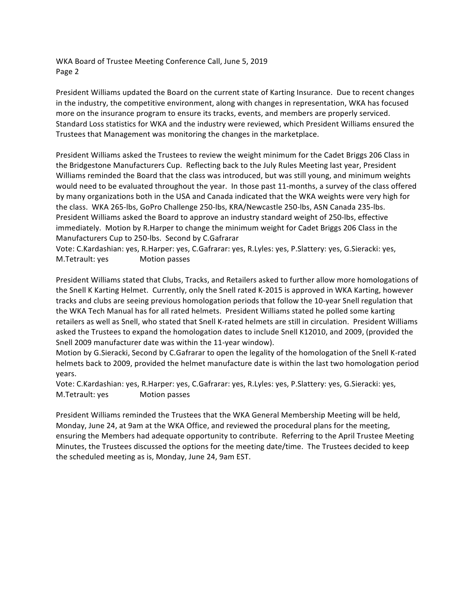WKA Board of Trustee Meeting Conference Call, June 5, 2019 Page 2

President Williams updated the Board on the current state of Karting Insurance. Due to recent changes in the industry, the competitive environment, along with changes in representation, WKA has focused more on the insurance program to ensure its tracks, events, and members are properly serviced. Standard Loss statistics for WKA and the industry were reviewed, which President Williams ensured the Trustees that Management was monitoring the changes in the marketplace.

President Williams asked the Trustees to review the weight minimum for the Cadet Briggs 206 Class in the Bridgestone Manufacturers Cup. Reflecting back to the July Rules Meeting last year, President Williams reminded the Board that the class was introduced, but was still young, and minimum weights would need to be evaluated throughout the year. In those past 11-months, a survey of the class offered by many organizations both in the USA and Canada indicated that the WKA weights were very high for the class. WKA 265-lbs, GoPro Challenge 250-lbs, KRA/Newcastle 250-lbs, ASN Canada 235-lbs. President Williams asked the Board to approve an industry standard weight of 250-lbs, effective immediately. Motion by R.Harper to change the minimum weight for Cadet Briggs 206 Class in the Manufacturers Cup to 250-lbs. Second by C.Gafrarar

Vote: C.Kardashian: yes, R.Harper: yes, C.Gafrarar: yes, R.Lyles: yes, P.Slattery: yes, G.Sieracki: yes, M.Tetrault: yes Motion passes

President Williams stated that Clubs, Tracks, and Retailers asked to further allow more homologations of the Snell K Karting Helmet. Currently, only the Snell rated K-2015 is approved in WKA Karting, however tracks and clubs are seeing previous homologation periods that follow the 10-year Snell regulation that the WKA Tech Manual has for all rated helmets. President Williams stated he polled some karting retailers as well as Snell, who stated that Snell K-rated helmets are still in circulation. President Williams asked the Trustees to expand the homologation dates to include Snell K12010, and 2009, (provided the Snell 2009 manufacturer date was within the 11-year window).

Motion by G.Sieracki, Second by C.Gafrarar to open the legality of the homologation of the Snell K-rated helmets back to 2009, provided the helmet manufacture date is within the last two homologation period years.

Vote: C.Kardashian: yes, R.Harper: yes, C.Gafrarar: yes, R.Lyles: yes, P.Slattery: yes, G.Sieracki: yes, M.Tetrault: yes Motion passes

President Williams reminded the Trustees that the WKA General Membership Meeting will be held, Monday, June 24, at 9am at the WKA Office, and reviewed the procedural plans for the meeting, ensuring the Members had adequate opportunity to contribute. Referring to the April Trustee Meeting Minutes, the Trustees discussed the options for the meeting date/time. The Trustees decided to keep the scheduled meeting as is, Monday, June 24, 9am EST.